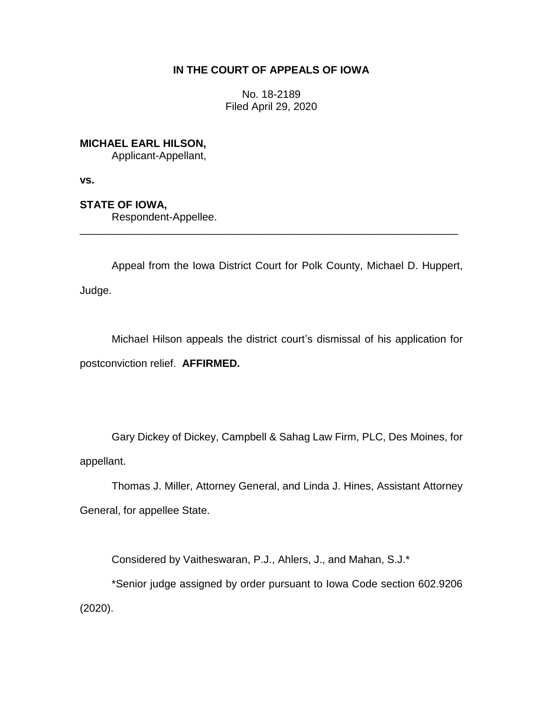# **IN THE COURT OF APPEALS OF IOWA**

No. 18-2189 Filed April 29, 2020

**MICHAEL EARL HILSON,**

Applicant-Appellant,

**vs.**

**STATE OF IOWA,**

Respondent-Appellee.

Appeal from the Iowa District Court for Polk County, Michael D. Huppert, Judge.

\_\_\_\_\_\_\_\_\_\_\_\_\_\_\_\_\_\_\_\_\_\_\_\_\_\_\_\_\_\_\_\_\_\_\_\_\_\_\_\_\_\_\_\_\_\_\_\_\_\_\_\_\_\_\_\_\_\_\_\_\_\_\_\_

Michael Hilson appeals the district court's dismissal of his application for postconviction relief. **AFFIRMED.**

Gary Dickey of Dickey, Campbell & Sahag Law Firm, PLC, Des Moines, for appellant.

Thomas J. Miller, Attorney General, and Linda J. Hines, Assistant Attorney General, for appellee State.

Considered by Vaitheswaran, P.J., Ahlers, J., and Mahan, S.J.\*

\*Senior judge assigned by order pursuant to Iowa Code section 602.9206 (2020).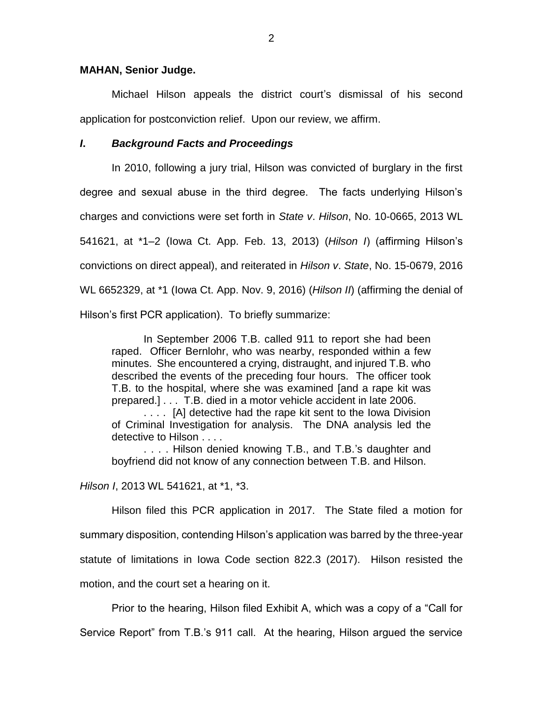### **MAHAN, Senior Judge.**

Michael Hilson appeals the district court's dismissal of his second application for postconviction relief. Upon our review, we affirm.

### *I***.** *Background Facts and Proceedings*

In 2010, following a jury trial, Hilson was convicted of burglary in the first degree and sexual abuse in the third degree. The facts underlying Hilson's charges and convictions were set forth in *State v*. *Hilson*, No. 10-0665, 2013 WL 541621, at \*1–2 (Iowa Ct. App. Feb. 13, 2013) (*Hilson I*) (affirming Hilson's convictions on direct appeal), and reiterated in *Hilson v*. *State*, No. 15-0679, 2016 WL 6652329, at \*1 (Iowa Ct. App. Nov. 9, 2016) (*Hilson II*) (affirming the denial of Hilson's first PCR application). To briefly summarize:

In September 2006 T.B. called 911 to report she had been raped. Officer Bernlohr, who was nearby, responded within a few minutes. She encountered a crying, distraught, and injured T.B. who described the events of the preceding four hours. The officer took T.B. to the hospital, where she was examined [and a rape kit was prepared.] . . . T.B. died in a motor vehicle accident in late 2006.

. . . . [A] detective had the rape kit sent to the Iowa Division of Criminal Investigation for analysis. The DNA analysis led the detective to Hilson . . . .

. . . . Hilson denied knowing T.B., and T.B.'s daughter and boyfriend did not know of any connection between T.B. and Hilson.

*Hilson I*, 2013 WL 541621, at \*1, \*3.

Hilson filed this PCR application in 2017. The State filed a motion for summary disposition, contending Hilson's application was barred by the three-year statute of limitations in Iowa Code section 822.3 (2017). Hilson resisted the motion, and the court set a hearing on it.

Prior to the hearing, Hilson filed Exhibit A, which was a copy of a "Call for Service Report" from T.B.'s 911 call. At the hearing, Hilson argued the service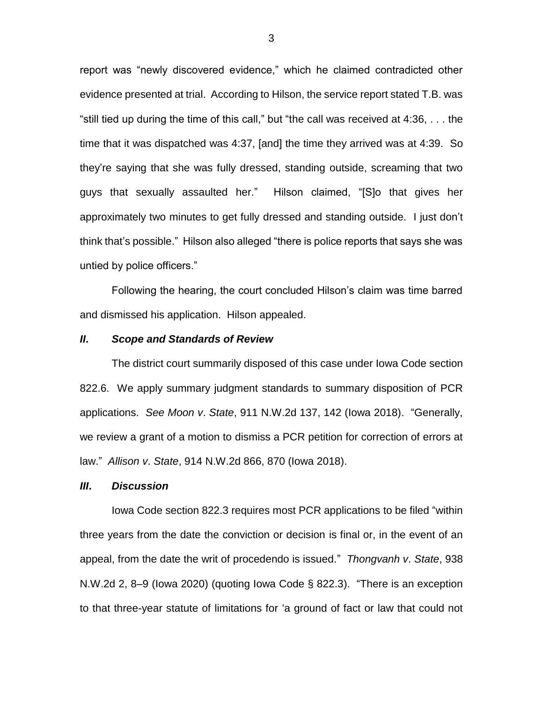report was "newly discovered evidence," which he claimed contradicted other evidence presented at trial. According to Hilson, the service report stated T.B. was "still tied up during the time of this call," but "the call was received at 4:36, . . . the time that it was dispatched was 4:37, [and] the time they arrived was at 4:39. So they're saying that she was fully dressed, standing outside, screaming that two guys that sexually assaulted her." Hilson claimed, "[S]o that gives her approximately two minutes to get fully dressed and standing outside. I just don't think that's possible." Hilson also alleged "there is police reports that says she was untied by police officers."

Following the hearing, the court concluded Hilson's claim was time barred and dismissed his application. Hilson appealed.

#### *II***.** *Scope and Standards of Review*

The district court summarily disposed of this case under Iowa Code section 822.6. We apply summary judgment standards to summary disposition of PCR applications. *See Moon v*. *State*, 911 N.W.2d 137, 142 (Iowa 2018). "Generally, we review a grant of a motion to dismiss a PCR petition for correction of errors at law." *Allison v*. *State*, 914 N.W.2d 866, 870 (Iowa 2018).

## *III***.** *Discussion*

Iowa Code section 822.3 requires most PCR applications to be filed "within three years from the date the conviction or decision is final or, in the event of an appeal, from the date the writ of procedendo is issued." *Thongvanh v*. *State*, 938 N.W.2d 2, 8–9 (Iowa 2020) (quoting Iowa Code § 822.3). "There is an exception to that three-year statute of limitations for 'a ground of fact or law that could not

3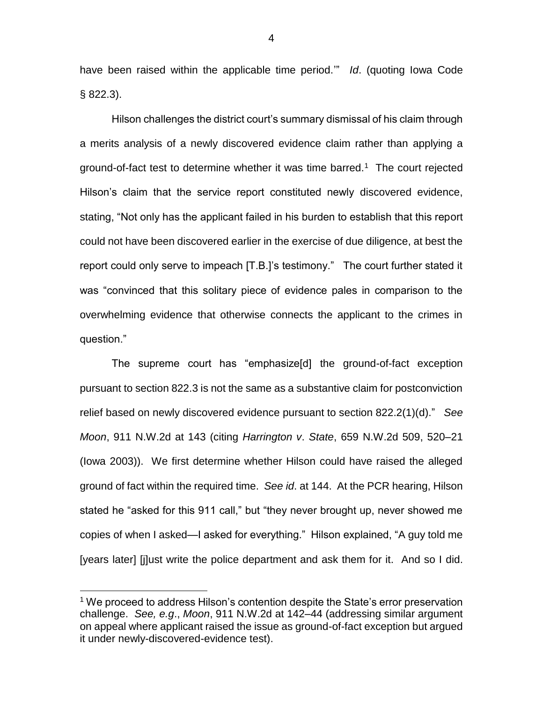have been raised within the applicable time period.'" *Id*. (quoting Iowa Code § 822.3).

Hilson challenges the district court's summary dismissal of his claim through a merits analysis of a newly discovered evidence claim rather than applying a ground-of-fact test to determine whether it was time barred.<sup>1</sup> The court rejected Hilson's claim that the service report constituted newly discovered evidence, stating, "Not only has the applicant failed in his burden to establish that this report could not have been discovered earlier in the exercise of due diligence, at best the report could only serve to impeach [T.B.]'s testimony." The court further stated it was "convinced that this solitary piece of evidence pales in comparison to the overwhelming evidence that otherwise connects the applicant to the crimes in question."

The supreme court has "emphasize[d] the ground-of-fact exception pursuant to section 822.3 is not the same as a substantive claim for postconviction relief based on newly discovered evidence pursuant to section 822.2(1)(d)." *See Moon*, 911 N.W.2d at 143 (citing *Harrington v*. *State*, 659 N.W.2d 509, 520–21 (Iowa 2003)). We first determine whether Hilson could have raised the alleged ground of fact within the required time. *See id*. at 144. At the PCR hearing, Hilson stated he "asked for this 911 call," but "they never brought up, never showed me copies of when I asked—I asked for everything." Hilson explained, "A guy told me [years later] [j]ust write the police department and ask them for it. And so I did.

 $\overline{a}$ 

<sup>&</sup>lt;sup>1</sup> We proceed to address Hilson's contention despite the State's error preservation challenge. *See, e.g*., *Moon*, 911 N.W.2d at 142–44 (addressing similar argument on appeal where applicant raised the issue as ground-of-fact exception but argued it under newly-discovered-evidence test).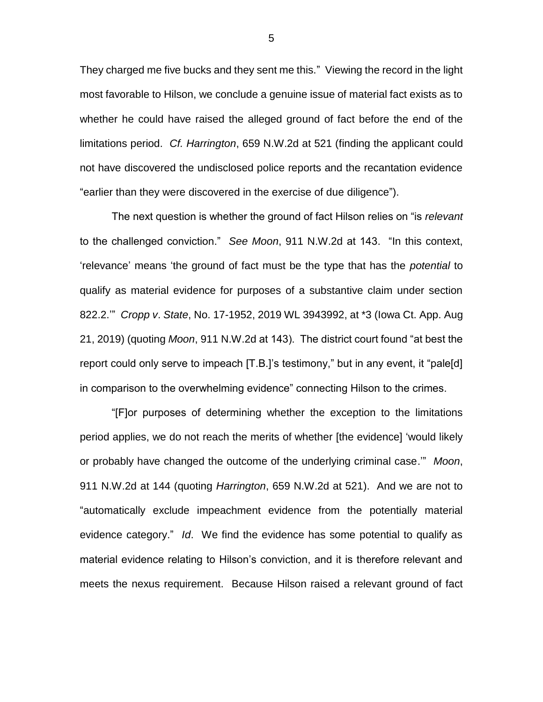They charged me five bucks and they sent me this." Viewing the record in the light most favorable to Hilson, we conclude a genuine issue of material fact exists as to whether he could have raised the alleged ground of fact before the end of the limitations period. *Cf. Harrington*, 659 N.W.2d at 521 (finding the applicant could not have discovered the undisclosed police reports and the recantation evidence "earlier than they were discovered in the exercise of due diligence").

The next question is whether the ground of fact Hilson relies on "is *relevant* to the challenged conviction." *See Moon*, 911 N.W.2d at 143. "In this context, 'relevance' means 'the ground of fact must be the type that has the *potential* to qualify as material evidence for purposes of a substantive claim under section 822.2.'" *Cropp v*. *State*, No. 17-1952, 2019 WL 3943992, at \*3 (Iowa Ct. App. Aug 21, 2019) (quoting *Moon*, 911 N.W.2d at 143). The district court found "at best the report could only serve to impeach [T.B.]'s testimony," but in any event, it "pale[d] in comparison to the overwhelming evidence" connecting Hilson to the crimes.

"[F]or purposes of determining whether the exception to the limitations period applies, we do not reach the merits of whether [the evidence] 'would likely or probably have changed the outcome of the underlying criminal case.'" *Moon*, 911 N.W.2d at 144 (quoting *Harrington*, 659 N.W.2d at 521). And we are not to "automatically exclude impeachment evidence from the potentially material evidence category." *Id*. We find the evidence has some potential to qualify as material evidence relating to Hilson's conviction, and it is therefore relevant and meets the nexus requirement. Because Hilson raised a relevant ground of fact

5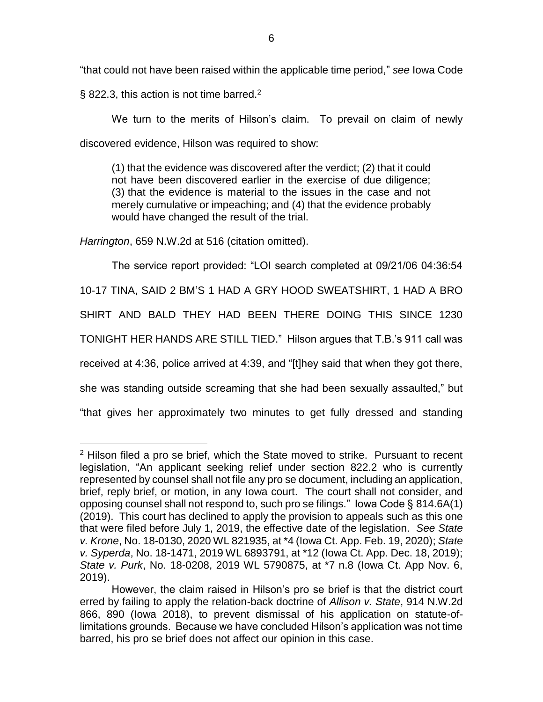"that could not have been raised within the applicable time period," *see* Iowa Code

§ 822.3, this action is not time barred.<sup>2</sup>

We turn to the merits of Hilson's claim. To prevail on claim of newly discovered evidence, Hilson was required to show:

(1) that the evidence was discovered after the verdict; (2) that it could not have been discovered earlier in the exercise of due diligence; (3) that the evidence is material to the issues in the case and not merely cumulative or impeaching; and (4) that the evidence probably would have changed the result of the trial.

*Harrington*, 659 N.W.2d at 516 (citation omitted).

 $\overline{a}$ 

The service report provided: "LOI search completed at 09/21/06 04:36:54

10-17 TINA, SAID 2 BM'S 1 HAD A GRY HOOD SWEATSHIRT, 1 HAD A BRO

SHIRT AND BALD THEY HAD BEEN THERE DOING THIS SINCE 1230

TONIGHT HER HANDS ARE STILL TIED." Hilson argues that T.B.'s 911 call was

received at 4:36, police arrived at 4:39, and "[t]hey said that when they got there,

she was standing outside screaming that she had been sexually assaulted," but

"that gives her approximately two minutes to get fully dressed and standing

<sup>&</sup>lt;sup>2</sup> Hilson filed a pro se brief, which the State moved to strike. Pursuant to recent legislation, "An applicant seeking relief under section 822.2 who is currently represented by counsel shall not file any pro se document, including an application, brief, reply brief, or motion, in any Iowa court. The court shall not consider, and opposing counsel shall not respond to, such pro se filings." Iowa Code § 814.6A(1) (2019). This court has declined to apply the provision to appeals such as this one that were filed before July 1, 2019, the effective date of the legislation. *See State v. Krone*, No. 18-0130, 2020 WL 821935, at \*4 (Iowa Ct. App. Feb. 19, 2020); *State v. Syperda*, No. 18-1471, 2019 WL 6893791, at \*12 (Iowa Ct. App. Dec. 18, 2019); *State v. Purk*, No. 18-0208, 2019 WL 5790875, at \*7 n.8 (Iowa Ct. App Nov. 6, 2019).

However, the claim raised in Hilson's pro se brief is that the district court erred by failing to apply the relation-back doctrine of *Allison v. State*, 914 N.W.2d 866, 890 (Iowa 2018), to prevent dismissal of his application on statute-oflimitations grounds. Because we have concluded Hilson's application was not time barred, his pro se brief does not affect our opinion in this case.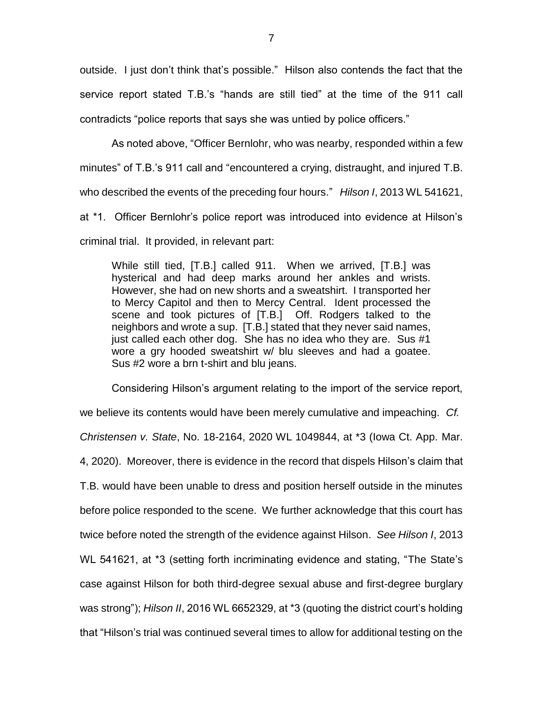outside. I just don't think that's possible." Hilson also contends the fact that the service report stated T.B.'s "hands are still tied" at the time of the 911 call contradicts "police reports that says she was untied by police officers."

As noted above, "Officer Bernlohr, who was nearby, responded within a few minutes" of T.B.'s 911 call and "encountered a crying, distraught, and injured T.B. who described the events of the preceding four hours." *Hilson I*, 2013 WL 541621, at \*1. Officer Bernlohr's police report was introduced into evidence at Hilson's criminal trial. It provided, in relevant part:

While still tied, [T.B.] called 911. When we arrived, [T.B.] was hysterical and had deep marks around her ankles and wrists. However, she had on new shorts and a sweatshirt. I transported her to Mercy Capitol and then to Mercy Central. Ident processed the scene and took pictures of [T.B.] Off. Rodgers talked to the neighbors and wrote a sup. [T.B.] stated that they never said names, just called each other dog. She has no idea who they are. Sus #1 wore a gry hooded sweatshirt w/ blu sleeves and had a goatee. Sus #2 wore a brn t-shirt and blu jeans.

Considering Hilson's argument relating to the import of the service report, we believe its contents would have been merely cumulative and impeaching. *Cf. Christensen v. State*, No. 18-2164, 2020 WL 1049844, at \*3 (Iowa Ct. App. Mar. 4, 2020). Moreover, there is evidence in the record that dispels Hilson's claim that T.B. would have been unable to dress and position herself outside in the minutes before police responded to the scene. We further acknowledge that this court has twice before noted the strength of the evidence against Hilson. *See Hilson I*, 2013 WL 541621, at \*3 (setting forth incriminating evidence and stating, "The State's case against Hilson for both third-degree sexual abuse and first-degree burglary was strong"); *Hilson II*, 2016 WL 6652329, at \*3 (quoting the district court's holding that "Hilson's trial was continued several times to allow for additional testing on the